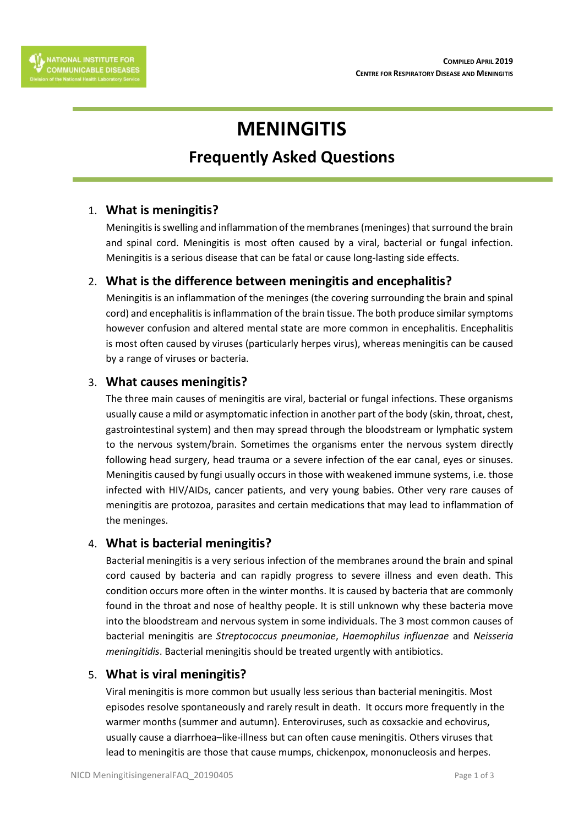# **MENINGITIS**

# **Frequently Asked Questions**

# 1. **What is meningitis?**

Meningitis is swelling and inflammation of the membranes (meninges) that surround the brain and spinal cord. Meningitis is most often caused by a viral, bacterial or fungal infection. Meningitis is a serious disease that can be fatal or cause long-lasting side effects.

# 2. **What is the difference between meningitis and encephalitis?**

Meningitis is an inflammation of the meninges (the covering surrounding the brain and spinal cord) and encephalitis is inflammation of the brain tissue. The both produce similar symptoms however confusion and altered mental state are more common in encephalitis. Encephalitis is most often caused by viruses (particularly herpes virus), whereas meningitis can be caused by a range of viruses or bacteria.

# 3. **What causes meningitis?**

The three main causes of meningitis are viral, bacterial or fungal infections. These organisms usually cause a mild or asymptomatic infection in another part of the body (skin, throat, chest, gastrointestinal system) and then may spread through the bloodstream or lymphatic system to the nervous system/brain. Sometimes the organisms enter the nervous system directly following head surgery, head trauma or a severe infection of the ear canal, eyes or sinuses. Meningitis caused by fungi usually occurs in those with weakened immune systems, i.e. those infected with HIV/AIDs, cancer patients, and very young babies. Other very rare causes of meningitis are protozoa, parasites and certain medications that may lead to inflammation of the meninges.

#### 4. **What is bacterial meningitis?**

Bacterial meningitis is a very serious infection of the membranes around the brain and spinal cord caused by bacteria and can rapidly progress to severe illness and even death. This condition occurs more often in the winter months. It is caused by bacteria that are commonly found in the throat and nose of healthy people. It is still unknown why these bacteria move into the bloodstream and nervous system in some individuals. The 3 most common causes of bacterial meningitis are *Streptococcus pneumoniae*, *Haemophilus influenzae* and *Neisseria meningitidis*. Bacterial meningitis should be treated urgently with antibiotics.

#### 5. **What is viral meningitis?**

Viral meningitis is more common but usually less serious than bacterial meningitis. Most episodes resolve spontaneously and rarely result in death. It occurs more frequently in the warmer months (summer and autumn). Enteroviruses, such as coxsackie and echovirus, usually cause a diarrhoea–like-illness but can often cause meningitis. Others viruses that lead to meningitis are those that cause mumps, chickenpox, mononucleosis and herpes.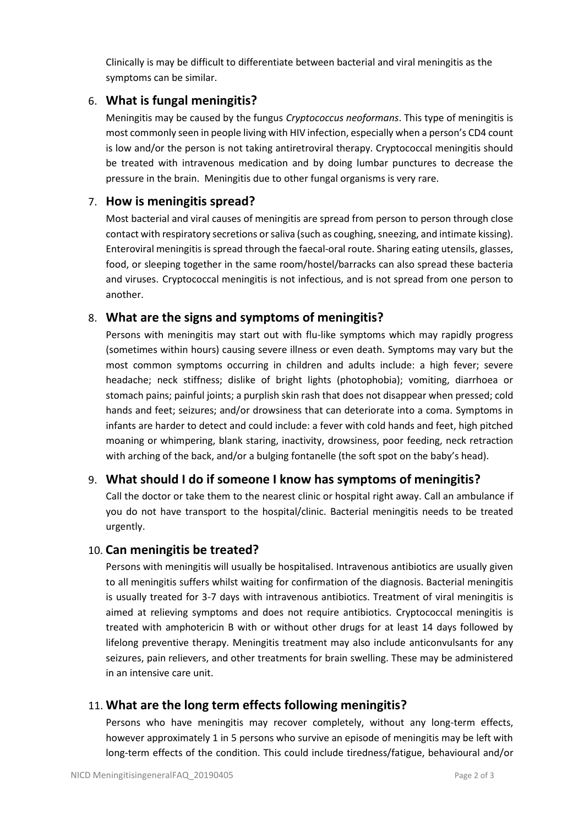Clinically is may be difficult to differentiate between bacterial and viral meningitis as the symptoms can be similar.

# 6. **What is fungal meningitis?**

Meningitis may be caused by the fungus *Cryptococcus neoformans*. This type of meningitis is most commonly seen in people living with HIV infection, especially when a person's CD4 count is low and/or the person is not taking antiretroviral therapy. Cryptococcal meningitis should be treated with intravenous medication and by doing lumbar punctures to decrease the pressure in the brain. Meningitis due to other fungal organisms is very rare.

#### 7. **How is meningitis spread?**

Most bacterial and viral causes of meningitis are spread from person to person through close contact with respiratory secretions or saliva (such as coughing, sneezing, and intimate kissing). Enteroviral meningitis is spread through the faecal-oral route. Sharing eating utensils, glasses, food, or sleeping together in the same room/hostel/barracks can also spread these bacteria and viruses. Cryptococcal meningitis is not infectious, and is not spread from one person to another.

#### 8. **What are the signs and symptoms of meningitis?**

Persons with meningitis may start out with flu-like symptoms which may rapidly progress (sometimes within hours) causing severe illness or even death. Symptoms may vary but the most common symptoms occurring in children and adults include: a high fever; severe headache; neck stiffness; dislike of bright lights (photophobia); vomiting, diarrhoea or stomach pains; painful joints; a purplish skin rash that does not disappear when pressed; cold hands and feet; seizures; and/or drowsiness that can deteriorate into a coma. Symptoms in infants are harder to detect and could include: a fever with cold hands and feet, high pitched moaning or whimpering, blank staring, inactivity, drowsiness, poor feeding, neck retraction with arching of the back, and/or a bulging fontanelle (the soft spot on the baby's head).

#### 9. **What should I do if someone I know has symptoms of meningitis?**

Call the doctor or take them to the nearest clinic or hospital right away. Call an ambulance if you do not have transport to the hospital/clinic. Bacterial meningitis needs to be treated urgently.

#### 10. **Can meningitis be treated?**

Persons with meningitis will usually be hospitalised. Intravenous antibiotics are usually given to all meningitis suffers whilst waiting for confirmation of the diagnosis. Bacterial meningitis is usually treated for 3-7 days with intravenous antibiotics. Treatment of viral meningitis is aimed at relieving symptoms and does not require antibiotics. Cryptococcal meningitis is treated with amphotericin B with or without other drugs for at least 14 days followed by lifelong preventive therapy. Meningitis treatment may also include anticonvulsants for any seizures, pain relievers, and other treatments for brain swelling. These may be administered in an intensive care unit.

#### 11. **What are the long term effects following meningitis?**

Persons who have meningitis may recover completely, without any long-term effects, however approximately 1 in 5 persons who survive an episode of meningitis may be left with long-term effects of the condition. This could include tiredness/fatigue, behavioural and/or